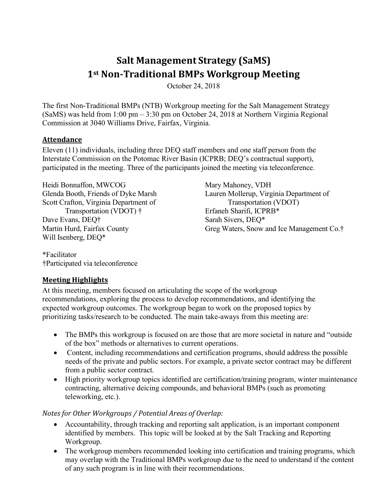# **Salt Management Strategy (SaMS) 1st Non-Traditional BMPs Workgroup Meeting**

October 24, 2018

The first Non-Traditional BMPs (NTB) Workgroup meeting for the Salt Management Strategy (SaMS) was held from 1:00 pm – 3:30 pm on October 24, 2018 at Northern Virginia Regional Commission at 3040 Williams Drive, Fairfax, Virginia.

#### **Attendance**

Eleven (11) individuals, including three DEQ staff members and one staff person from the Interstate Commission on the Potomac River Basin (ICPRB; DEQ's contractual support), participated in the meeting. Three of the participants joined the meeting via teleconference.

Heidi Bonnaffon, MWCOG Glenda Booth, Friends of Dyke Marsh Scott Crafton, Virginia Department of Transportation (VDOT) † Dave Evans, DEQ† Martin Hurd, Fairfax County Will Isenberg, DEQ\*

Mary Mahoney, VDH Lauren Mollerup, Virginia Department of Transportation (VDOT) Erfaneh Sharifi, ICPRB\* Sarah Sivers, DEQ\* Greg Waters, Snow and Ice Management Co.†

\*Facilitator †Participated via teleconference

#### **Meeting Highlights**

At this meeting, members focused on articulating the scope of the workgroup recommendations, exploring the process to develop recommendations, and identifying the expected workgroup outcomes. The workgroup began to work on the proposed topics by prioritizing tasks/research to be conducted. The main take-aways from this meeting are:

- The BMPs this workgroup is focused on are those that are more societal in nature and "outside" of the box" methods or alternatives to current operations.
- Content, including recommendations and certification programs, should address the possible needs of the private and public sectors. For example, a private sector contract may be different from a public sector contract.
- High priority workgroup topics identified are certification/training program, winter maintenance contracting, alternative deicing compounds, and behavioral BMPs (such as promoting teleworking, etc.).

## *Notes for Other Workgroups / Potential Areas of Overlap:*

- Accountability, through tracking and reporting salt application, is an important component identified by members. This topic will be looked at by the Salt Tracking and Reporting Workgroup.
- The workgroup members recommended looking into certification and training programs, which may overlap with the Traditional BMPs workgroup due to the need to understand if the content of any such program is in line with their recommendations.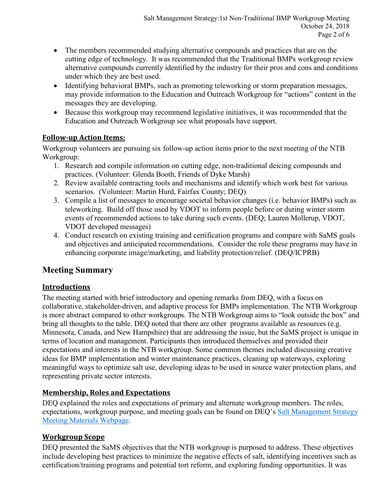- The members recommended studying alternative compounds and practices that are on the cutting edge of technology. It was recommended that the Traditional BMPs workgroup review alternative compounds currently identified by the industry for their pros and cons and conditions under which they are best used.
- Identifying behavioral BMPs, such as promoting teleworking or storm preparation messages, may provide information to the Education and Outreach Workgroup for "actions" content in the messages they are developing.
- Because this workgroup may recommend legislative initiatives, it was recommended that the Education and Outreach Workgroup see what proposals have support.

### **Follow-up Action Items:**

Workgroup volunteers are pursuing six follow-up action items prior to the next meeting of the NTB Workgroup:

- 1. Research and compile information on cutting edge, non-traditional deicing compounds and practices. (Volunteer: Glenda Booth, Friends of Dyke Marsh)
- 2. Review available contracting tools and mechanisms and identify which work best for various scenarios. (Volunteer: Martin Hurd, Fairfax County; DEQ)
- 3. Compile a list of messages to encourage societal behavior changes (i.e. behavior BMPs) such as teleworking. Build off those used by VDOT to inform people before or during winter storm events of recommended actions to take during such events. (DEQ; Lauren Mollerup, VDOT, VDOT developed messages)
- 4. Conduct research on existing training and certification programs and compare with SaMS goals and objectives and anticipated recommendations. Consider the role these programs may have in enhancing corporate image/marketing, and liability protection/relief. (DEQ/ICPRB)

## **Meeting Summary**

## **Introductions**

The meeting started with brief introductory and opening remarks from DEQ, with a focus on collaborative, stakeholder-driven, and adaptive process for BMPs implementation. The NTB Workgroup is more abstract compared to other workgroups. The NTB Workgroup aims to "look outside the box" and bring all thoughts to the table. DEQ noted that there are other programs available as resources (e.g. Minnesota, Canada, and New Hampshire) that are addressing the issue, but the SaMS project is unique in terms of location and management. Participants then introduced themselves and provided their expectations and interests in the NTB workgroup. Some common themes included discussing creative ideas for BMP implementation and winter maintenance practices, cleaning up waterways, exploring meaningful ways to optimize salt use, developing ideas to be used in source water protection plans, and representing private sector interests.

## **Membership, Roles and Expectations**

DEQ explained the roles and expectations of primary and alternate workgroup members. The roles, expectations, workgroup purpose, and meeting goals can be found on DEQ's [Salt Management Strategy](https://www.deq.virginia.gov/SaMS/MeetingMaterials.aspx)  [Meeting Materials Webpage.](https://www.deq.virginia.gov/SaMS/MeetingMaterials.aspx)

## **Workgroup Scope**

DEQ presented the SaMS objectives that the NTB workgroup is purposed to address. These objectives include developing best practices to minimize the negative effects of salt, identifying incentives such as certification/training programs and potential tort reform, and exploring funding opportunities. It was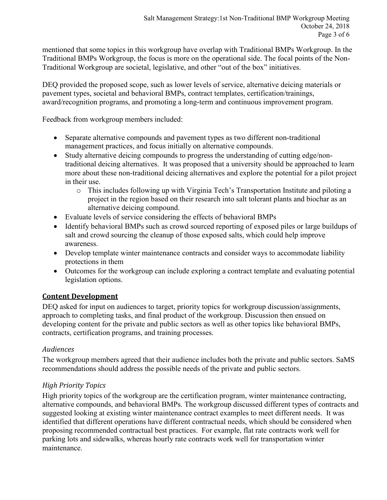mentioned that some topics in this workgroup have overlap with Traditional BMPs Workgroup. In the Traditional BMPs Workgroup, the focus is more on the operational side. The focal points of the Non-Traditional Workgroup are societal, legislative, and other "out of the box" initiatives.

DEQ provided the proposed scope, such as lower levels of service, alternative deicing materials or pavement types, societal and behavioral BMPs, contract templates, certification/trainings, award/recognition programs, and promoting a long-term and continuous improvement program.

Feedback from workgroup members included:

- Separate alternative compounds and pavement types as two different non-traditional management practices, and focus initially on alternative compounds.
- Study alternative deicing compounds to progress the understanding of cutting edge/nontraditional deicing alternatives. It was proposed that a university should be approached to learn more about these non-traditional deicing alternatives and explore the potential for a pilot project in their use.
	- o This includes following up with Virginia Tech's Transportation Institute and piloting a project in the region based on their research into salt tolerant plants and biochar as an alternative deicing compound.
- Evaluate levels of service considering the effects of behavioral BMPs
- Identify behavioral BMPs such as crowd sourced reporting of exposed piles or large buildups of salt and crowd sourcing the cleanup of those exposed salts, which could help improve awareness.
- Develop template winter maintenance contracts and consider ways to accommodate liability protections in them
- Outcomes for the workgroup can include exploring a contract template and evaluating potential legislation options.

## **Content Development**

DEQ asked for input on audiences to target, priority topics for workgroup discussion/assignments, approach to completing tasks, and final product of the workgroup. Discussion then ensued on developing content for the private and public sectors as well as other topics like behavioral BMPs, contracts, certification programs, and training processes.

#### *Audiences*

The workgroup members agreed that their audience includes both the private and public sectors. SaMS recommendations should address the possible needs of the private and public sectors.

## *High Priority Topics*

High priority topics of the workgroup are the certification program, winter maintenance contracting, alternative compounds, and behavioral BMPs. The workgroup discussed different types of contracts and suggested looking at existing winter maintenance contract examples to meet different needs. It was identified that different operations have different contractual needs, which should be considered when proposing recommended contractual best practices. For example, flat rate contracts work well for parking lots and sidewalks, whereas hourly rate contracts work well for transportation winter maintenance.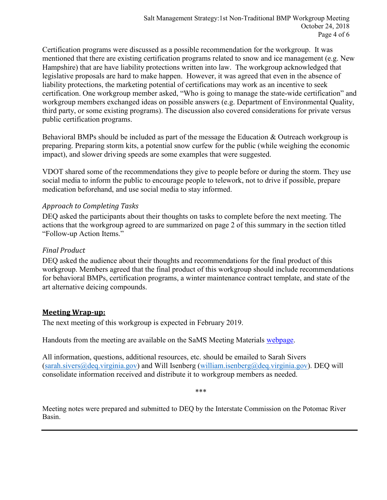Certification programs were discussed as a possible recommendation for the workgroup. It was mentioned that there are existing certification programs related to snow and ice management (e.g. New Hampshire) that are have liability protections written into law. The workgroup acknowledged that legislative proposals are hard to make happen. However, it was agreed that even in the absence of liability protections, the marketing potential of certifications may work as an incentive to seek certification. One workgroup member asked, "Who is going to manage the state-wide certification" and workgroup members exchanged ideas on possible answers (e.g. Department of Environmental Quality, third party, or some existing programs). The discussion also covered considerations for private versus public certification programs.

Behavioral BMPs should be included as part of the message the Education & Outreach workgroup is preparing. Preparing storm kits, a potential snow curfew for the public (while weighing the economic impact), and slower driving speeds are some examples that were suggested.

VDOT shared some of the recommendations they give to people before or during the storm. They use social media to inform the public to encourage people to telework, not to drive if possible, prepare medication beforehand, and use social media to stay informed.

#### *Approach to Completing Tasks*

DEQ asked the participants about their thoughts on tasks to complete before the next meeting. The actions that the workgroup agreed to are summarized on page 2 of this summary in the section titled "Follow-up Action Items."

#### *Final Product*

DEQ asked the audience about their thoughts and recommendations for the final product of this workgroup. Members agreed that the final product of this workgroup should include recommendations for behavioral BMPs, certification programs, a winter maintenance contract template, and state of the art alternative deicing compounds.

#### **Meeting Wrap-up:**

The next meeting of this workgroup is expected in February 2019.

Handouts from the meeting are available on the SaMS Meeting Materials [webpage.](https://www.deq.virginia.gov/SaMS/MeetingMaterials.aspx)

All information, questions, additional resources, etc. should be emailed to Sarah Sivers [\(sarah.sivers@deq.virginia.gov\)](mailto:sarah.sivers@deq.virginia.gov) and Will Isenberg (william.isenberg@deq.virginia.gov). DEQ will consolidate information received and distribute it to workgroup members as needed.

\*\*\*

Meeting notes were prepared and submitted to DEQ by the Interstate Commission on the Potomac River Basin.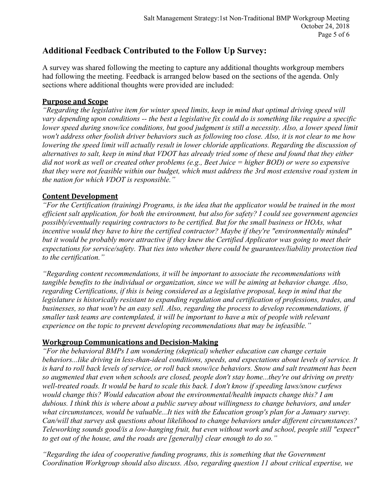## **Additional Feedback Contributed to the Follow Up Survey:**

A survey was shared following the meeting to capture any additional thoughts workgroup members had following the meeting. Feedback is arranged below based on the sections of the agenda. Only sections where additional thoughts were provided are included:

#### **Purpose and Scope**

*"Regarding the legislative item for winter speed limits, keep in mind that optimal driving speed will vary depending upon conditions -- the best a legislative fix could do is something like require a specific lower speed during snow/ice conditions, but good judgment is still a necessity. Also, a lower speed limit won't address other foolish driver behaviors such as following too close. Also, it is not clear to me how lowering the speed limit will actually result in lower chloride applications. Regarding the discussion of alternatives to salt, keep in mind that VDOT has already tried some of these and found that they either did not work as well or created other problems (e.g., Beet Juice = higher BOD) or were so expensive that they were not feasible within our budget, which must address the 3rd most extensive road system in the nation for which VDOT is responsible."*

#### **Content Development**

*"For the Certification (training) Programs, is the idea that the applicator would be trained in the most efficient salt application, for both the environment, but also for safety? I could see government agencies possibly/eventually requiring contractors to be certified. But for the small business or HOAs, what incentive would they have to hire the certified contractor? Maybe if they're "environmentally minded" but it would be probably more attractive if they knew the Certified Applicator was going to meet their expectations for service/safety. That ties into whether there could be guarantees/liability protection tied to the certification."*

*"Regarding content recommendations, it will be important to associate the recommendations with tangible benefits to the individual or organization, since we will be aiming at behavior change. Also, regarding Certifications, if this is being considered as a legislative proposal, keep in mind that the legislature is historically resistant to expanding regulation and certification of professions, trades, and businesses, so that won't be an easy sell. Also, regarding the process to develop recommendations, if smaller task teams are contemplated, it will be important to have a mix of people with relevant experience on the topic to prevent developing recommendations that may be infeasible."*

#### **Workgroup Communications and Decision-Making**

*"For the behavioral BMPs I am wondering (skeptical) whether education can change certain behaviors...like driving in less-than-ideal conditions, speeds, and expectations about levels of service. It is hard to roll back levels of service, or roll back snow/ice behaviors. Snow and salt treatment has been so augmented that even when schools are closed, people don't stay home...they're out driving on pretty well-treated roads. It would be hard to scale this back. I don't know if speeding laws/snow curfews would change this? Would education about the environmental/health impacts change this? I am dubious. I think this is where about a public survey about willingness to change behaviors, and under what circumstances, would be valuable...It ties with the Education group's plan for a January survey. Can/will that survey ask questions about likelihood to change behaviors under different circumstances? Teleworking sounds good/is a low-hanging fruit, but even without work and school, people still "expect" to get out of the house, and the roads are [generally] clear enough to do so."*

*"Regarding the idea of cooperative funding programs, this is something that the Government Coordination Workgroup should also discuss. Also, regarding question 11 about critical expertise, we*